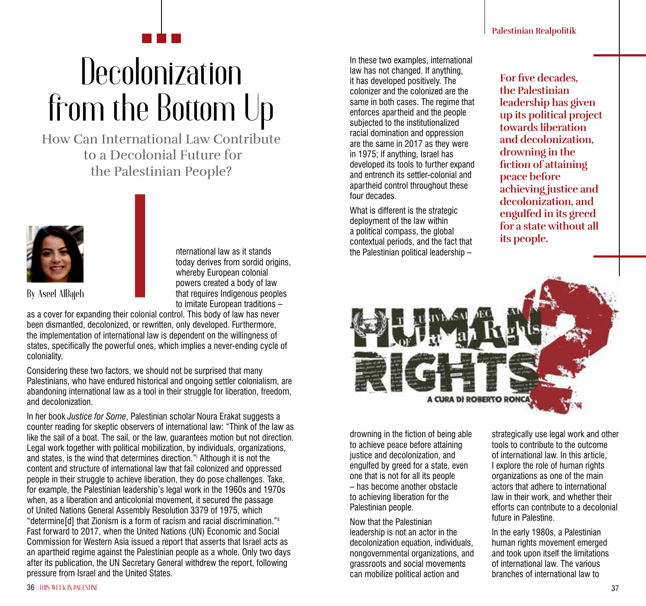## **Decolonization** from the Bottom Up

How Can International Law Contribute to a Decolonial Future for the Palestinian People?



nternational law as it stands today derives from sordid origins. whereby European colonial powers created a body of law that requires Indigenous peoples to imitate European traditions –

as a cover for expanding their colonial control. This body of law has never been dismantled, decolonized, or rewritten, only developed. Furthermore, the implementation of international law is dependent on the willingness of states, specifically the powerful ones, which implies a never-ending cycle of coloniality.

Considering these two factors, we should not be surprised that many Palestinians, who have endured historical and ongoing settler colonialism, are abandoning international law as a tool in their struggle for liberation, freedom, and decolonization.

In her book *Justice for Some*, Palestinian scholar Noura Erakat suggests a counter reading for skeptic observers of international law: "Think of the law as like the sail of a boat. The sail, or the law, guarantees motion but not direction. Legal work together with political mobilization, by individuals, organizations, and states, is the wind that determines direction."i Although it is not the content and structure of international law that fail colonized and oppressed people in their struggle to achieve liberation, they do pose challenges. Take, for example, the Palestinian leadership's legal work in the 1960s and 1970s when, as a liberation and anticolonial movement, it secured the passage of United Nations General Assembly Resolution 3379 of 1975, which "determine[d] that Zionism is a form of racism and racial discrimination."ii Fast forward to 2017, when the United Nations (UN) Economic and Social Commission for Western Asia issued a report that asserts that Israel acts as an apartheid regime against the Palestinian people as a whole. Only two days after its publication, the UN Secretary General withdrew the report, following pressure from Israel and the United States.

In these two examples, international law has not changed. If anything, it has developed positively. The colonizer and the colonized are the same in both cases. The regime that enforces apartheid and the people subjected to the institutionalized racial domination and oppression are the same in 2017 as they were in 1975; if anything, Israel has developed its tools to further expand and entrench its settler-colonial and apartheid control throughout these four decades.

What is different is the strategic deployment of the law within a political compass, the global contextual periods, and the fact that the Palestinian political leadership –

**For five decades, the Palestinian leadership has given up its political project towards liberation and decolonization, drowning in the fiction of attaining peace before achieving justice and decolonization, and engulfed in its greed for a state without all its people.**



drowning in the fiction of being able to achieve peace before attaining justice and decolonization, and engulfed by greed for a state, even one that is not for all its people – has become another obstacle to achieving liberation for the Palestinian people.

Now that the Palestinian leadership is not an actor in the decolonization equation, individuals, nongovernmental organizations, and grassroots and social movements can mobilize political action and

strategically use legal work and other tools to contribute to the outcome of international law. In this article, I explore the role of human rights organizations as one of the main actors that adhere to international law in their work, and whether their efforts can contribute to a decolonial future in Palestine.

In the early 1980s, a Palestinian human rights movement emerged and took upon itself the limitations of international law. The various branches of international law to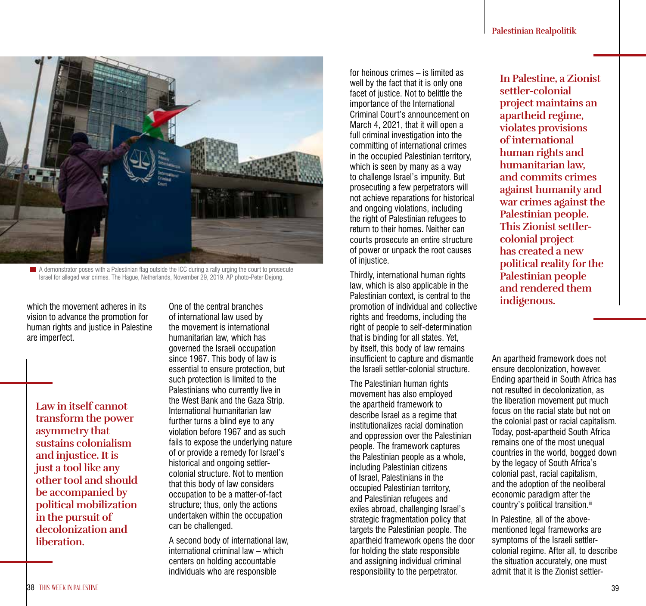

 $\blacksquare$  A demonstrator poses with a Palestinian flag outside the ICC during a rally urging the court to prosecute Israel for alleged war crimes. The Hague, Netherlands, November 29, 2019. AP photo-Peter Dejong.

which the movement adheres in its vision to advance the promotion for human rights and justice in Palestine are imperfect.

**Law in itself cannot transform the power asymmetry that sustains colonialism and injustice. It is just a tool like any other tool and should be accompanied by political mobilization in the pursuit of decolonization and liberation.**

One of the central branches of international law used by the movement is international humanitarian law, which has governed the Israeli occupation since 1967. This body of law is essential to ensure protection, but such protection is limited to the Palestinians who currently live in the West Bank and the Gaza Strip. International humanitarian law further turns a blind eye to any violation before 1967 and as such fails to expose the underlying nature of or provide a remedy for Israel's historical and ongoing settlercolonial structure. Not to mention that this body of law considers occupation to be a matter-of-fact structure; thus, only the actions undertaken within the occupation can be challenged.

A second body of international law, international criminal law – which centers on holding accountable individuals who are responsible

for heinous crimes – is limited as well by the fact that it is only one facet of justice. Not to belittle the importance of the International Criminal Court's announcement on March 4, 2021, that it will open a full criminal investigation into the committing of international crimes in the occupied Palestinian territory, which is seen by many as a way to challenge Israel's impunity. But prosecuting a few perpetrators will not achieve reparations for historical and ongoing violations, including the right of Palestinian refugees to return to their homes. Neither can courts prosecute an entire structure of power or unpack the root causes of injustice.

Thirdly, international human rights law, which is also applicable in the Palestinian context, is central to the promotion of individual and collective rights and freedoms, including the right of people to self-determination that is binding for all states. Yet, by itself, this body of law remains insufficient to capture and dismantle the Israeli settler-colonial structure.

The Palestinian human rights movement has also employed the apartheid framework to describe Israel as a regime that institutionalizes racial domination and oppression over the Palestinian people. The framework captures the Palestinian people as a whole, including Palestinian citizens of Israel, Palestinians in the occupied Palestinian territory, and Palestinian refugees and exiles abroad, challenging Israel's strategic fragmentation policy that targets the Palestinian people. The apartheid framework opens the door for holding the state responsible and assigning individual criminal responsibility to the perpetrator.

**In Palestine, a Zionist settler-colonial project maintains an apartheid regime, violates provisions of international human rights and humanitarian law, and commits crimes against humanity and war crimes against the Palestinian people. This Zionist settlercolonial project has created a new political reality for the Palestinian people and rendered them indigenous.**

An apartheid framework does not ensure decolonization, however. Ending apartheid in South Africa has not resulted in decolonization, as the liberation movement put much focus on the racial state but not on the colonial past or racial capitalism. Today, post-apartheid South Africa remains one of the most unequal countries in the world, bogged down by the legacy of South Africa's colonial past, racial capitalism, and the adoption of the neoliberal economic paradigm after the country's political transition.<sup>iii</sup>

In Palestine, all of the abovementioned legal frameworks are symptoms of the Israeli settlercolonial regime. After all, to describe the situation accurately, one must admit that it is the Zionist settler-